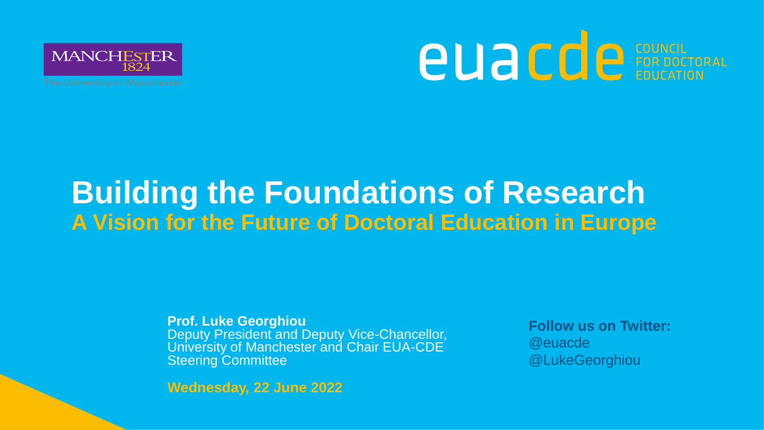

# **AUACCE** CONCIL FOR DOCTORAL

### **Building the Foundations of Research A Vision for the Future of Doctoral Education in Europe**

**Prof. Luke Georghiou** Deputy President and Deputy Vice-Chancellor, University of Manchester and Chair EUA-CDE Steering Committee

**Follow us on Twitter:** @euacde @LukeGeorghiou

**Wednesday, 22 June 2022**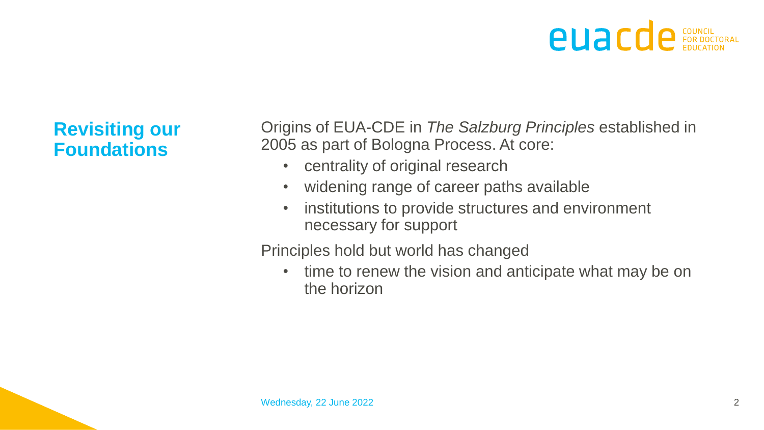#### **Revisiting our Foundations**

Origins of EUA-CDE in *The Salzburg Principles* established in 2005 as part of Bologna Process. At core:

- centrality of original research
- widening range of career paths available
- institutions to provide structures and environment necessary for support

Principles hold but world has changed

• time to renew the vision and anticipate what may be on the horizon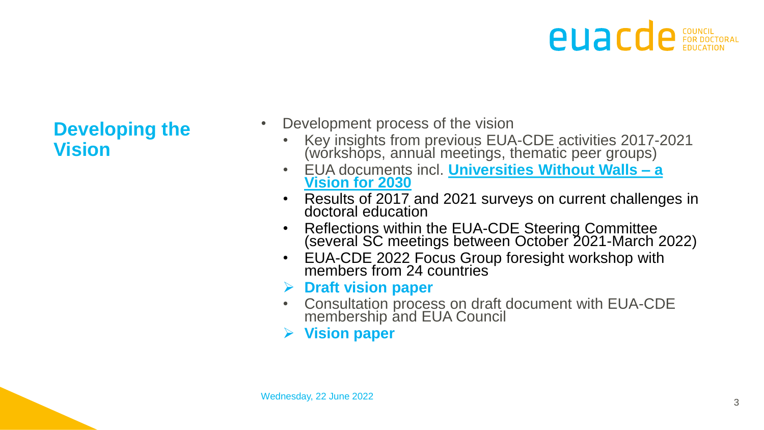#### **Developing the Vision**

- Development process of the vision
	- Key insights from previous EUA-CDE activities 2017-2021 (workshops, annual meetings, thematic peer groups)
	- EUA documents incl. **[Universities Without Walls –](https://eua.eu/downloads/publications/universities%20without%20walls%20%20a%20vision%20for%202030.pdf) a Vision for 2030**
	- Results of 2017 and 2021 surveys on current challenges in doctoral education
	- Reflections within the EUA-CDE Steering Committee (several SC meetings between October 2021-March 2022)
	- EUA-CDE 2022 Focus Group foresight workshop with members from 24 countries
	- ➢ **Draft vision paper**
	- Consultation process on draft document with EUA-CDE membership and EUA Council
	- ➢ **Vision paper**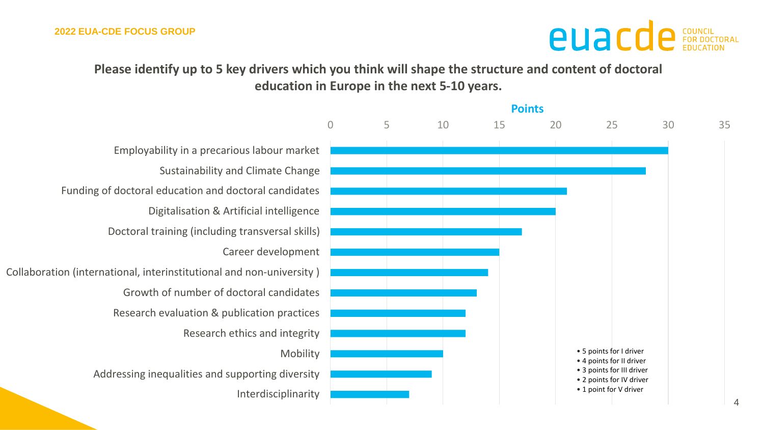**Please identify up to 5 key drivers which you think will shape the structure and content of doctoral education in Europe in the next 5-10 years.**

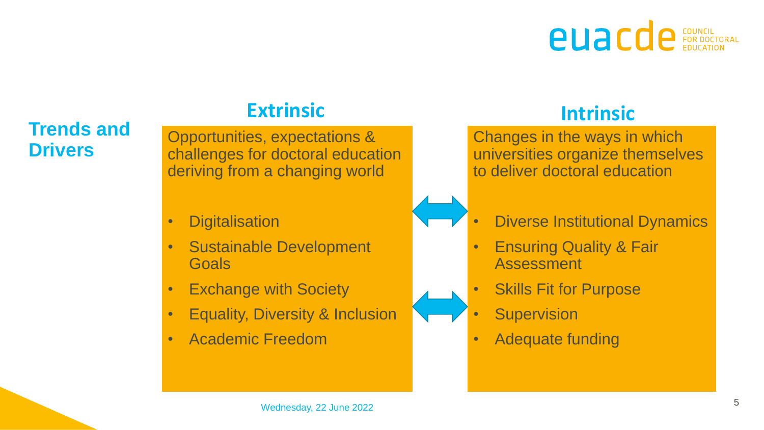#### **Trends and Drivers**

#### **Extrinsic Intrinsic**

Opportunities, expectations & challenges for doctoral education deriving from a changing world

- Digitalisation
- Sustainable Development **Goals**
- Exchange with Society
- Equality, Diversity & Inclusion
- Academic Freedom

Changes in the ways in which universities organize themselves to deliver doctoral education

#### • Diverse Institutional Dynamics

- Ensuring Quality & Fair **Assessment**
- **Skills Fit for Purpose** 
	- **Supervision**
- Adequate funding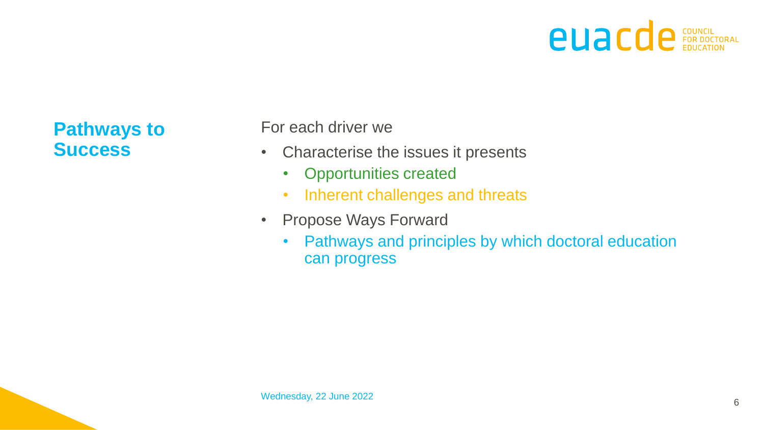### **euacde** EDUCATION

**Pathways to Success**

For each driver we

- Characterise the issues it presents
	- Opportunities created
	- Inherent challenges and threats
- Propose Ways Forward
	- Pathways and principles by which doctoral education can progress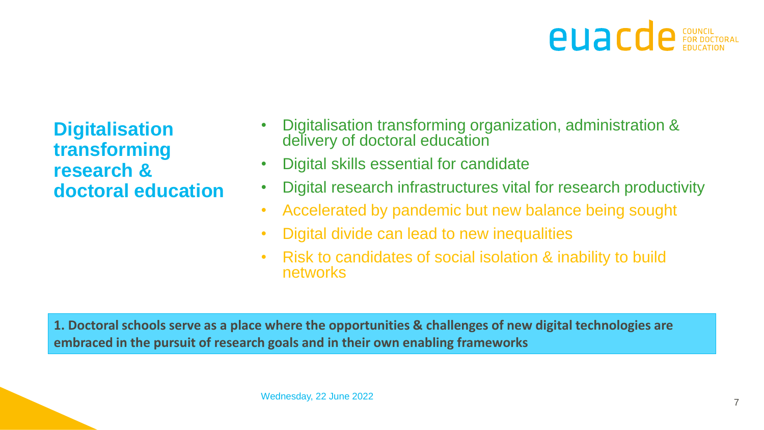**Digitalisation transforming research & doctoral education**

- Digitalisation transforming organization, administration & delivery of doctoral education
- Digital skills essential for candidate
- Digital research infrastructures vital for research productivity
- Accelerated by pandemic but new balance being sought
- Digital divide can lead to new inequalities
- Risk to candidates of social isolation & inability to build networks

**1. Doctoral schools serve as a place where the opportunities & challenges of new digital technologies are embraced in the pursuit of research goals and in their own enabling frameworks**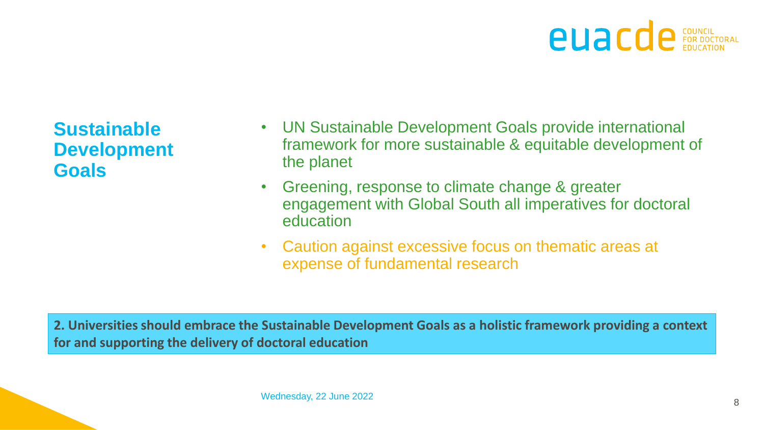

**Sustainable Development Goals**

- UN Sustainable Development Goals provide international framework for more sustainable & equitable development of the planet
- Greening, response to climate change & greater engagement with Global South all imperatives for doctoral education
- Caution against excessive focus on thematic areas at expense of fundamental research

**2. Universities should embrace the Sustainable Development Goals as a holistic framework providing a context for and supporting the delivery of doctoral education**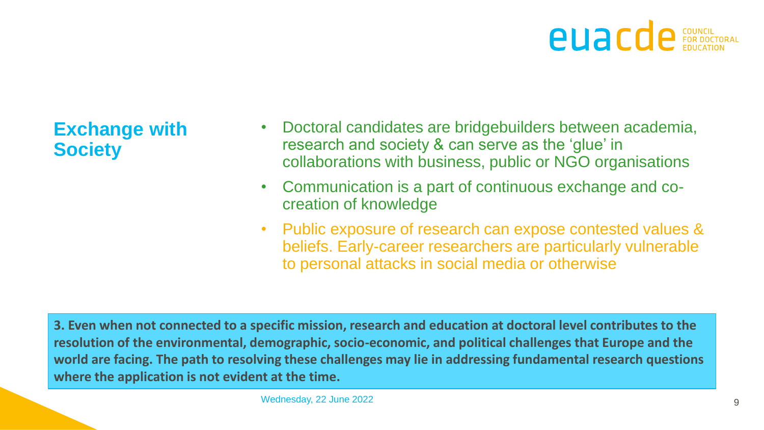

**Exchange with Society**

- Doctoral candidates are bridgebuilders between academia, research and society & can serve as the 'glue' in collaborations with business, public or NGO organisations
- Communication is a part of continuous exchange and cocreation of knowledge
- Public exposure of research can expose contested values & beliefs. Early-career researchers are particularly vulnerable to personal attacks in social media or otherwise

**3. Even when not connected to a specific mission, research and education at doctoral level contributes to the resolution of the environmental, demographic, socio-economic, and political challenges that Europe and the world are facing. The path to resolving these challenges may lie in addressing fundamental research questions where the application is not evident at the time.**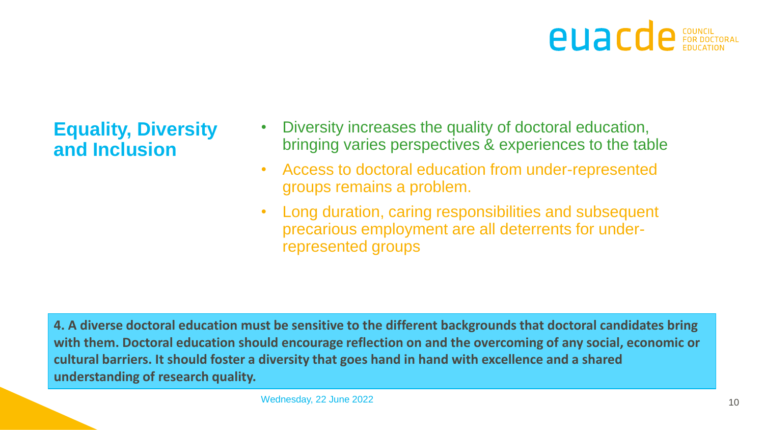

#### **Equality, Diversity and Inclusion**

- Diversity increases the quality of doctoral education, bringing varies perspectives & experiences to the table
- Access to doctoral education from under-represented groups remains a problem.
- Long duration, caring responsibilities and subsequent precarious employment are all deterrents for underrepresented groups

**4. A diverse doctoral education must be sensitive to the different backgrounds that doctoral candidates bring with them. Doctoral education should encourage reflection on and the overcoming of any social, economic or cultural barriers. It should foster a diversity that goes hand in hand with excellence and a shared understanding of research quality.**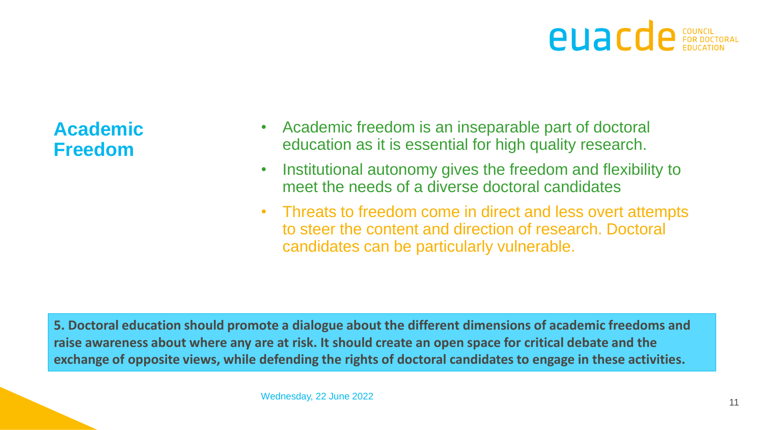

**Academic Freedom**

- Academic freedom is an inseparable part of doctoral education as it is essential for high quality research.
- Institutional autonomy gives the freedom and flexibility to meet the needs of a diverse doctoral candidates
- Threats to freedom come in direct and less overt attempts to steer the content and direction of research. Doctoral candidates can be particularly vulnerable.

**5. Doctoral education should promote a dialogue about the different dimensions of academic freedoms and raise awareness about where any are at risk. It should create an open space for critical debate and the exchange of opposite views, while defending the rights of doctoral candidates to engage in these activities.**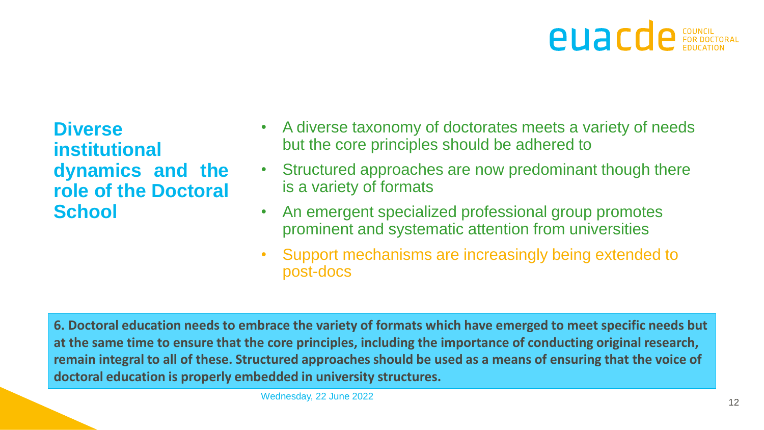

**Diverse institutional dynamics and the role of the Doctoral School**

- A diverse taxonomy of doctorates meets a variety of needs but the core principles should be adhered to
- Structured approaches are now predominant though there is a variety of formats
- An emergent specialized professional group promotes prominent and systematic attention from universities
- Support mechanisms are increasingly being extended to post-docs

**6. Doctoral education needs to embrace the variety of formats which have emerged to meet specific needs but at the same time to ensure that the core principles, including the importance of conducting original research, remain integral to all of these. Structured approaches should be used as a means of ensuring that the voice of doctoral education is properly embedded in university structures.**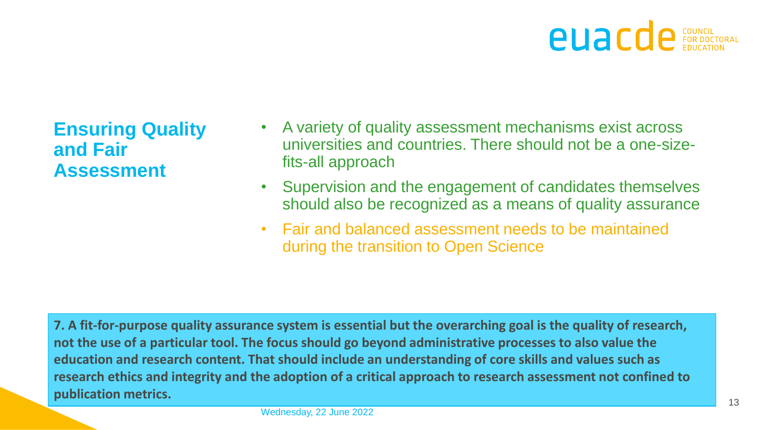#### **Ensuring Quality and Fair Assessment**

- A variety of quality assessment mechanisms exist across universities and countries. There should not be a one-sizefits-all approach
- Supervision and the engagement of candidates themselves should also be recognized as a means of quality assurance
- Fair and balanced assessment needs to be maintained during the transition to Open Science

**7. A fit-for-purpose quality assurance system is essential but the overarching goal is the quality of research, not the use of a particular tool. The focus should go beyond administrative processes to also value the education and research content. That should include an understanding of core skills and values such as research ethics and integrity and the adoption of a critical approach to research assessment not confined to publication metrics.**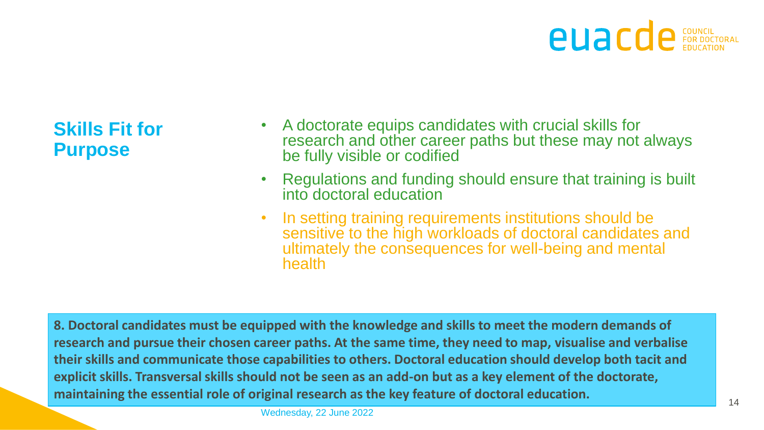**Skills Fit for Purpose**

- A doctorate equips candidates with crucial skills for research and other career paths but these may not always be fully visible or codified
- Regulations and funding should ensure that training is built into doctoral education
- In setting training requirements institutions should be sensitive to the high workloads of doctoral candidates and ultimately the consequences for well-being and mental health

**8. Doctoral candidates must be equipped with the knowledge and skills to meet the modern demands of research and pursue their chosen career paths. At the same time, they need to map, visualise and verbalise their skills and communicate those capabilities to others. Doctoral education should develop both tacit and explicit skills. Transversal skills should not be seen as an add-on but as a key element of the doctorate, maintaining the essential role of original research as the key feature of doctoral education.**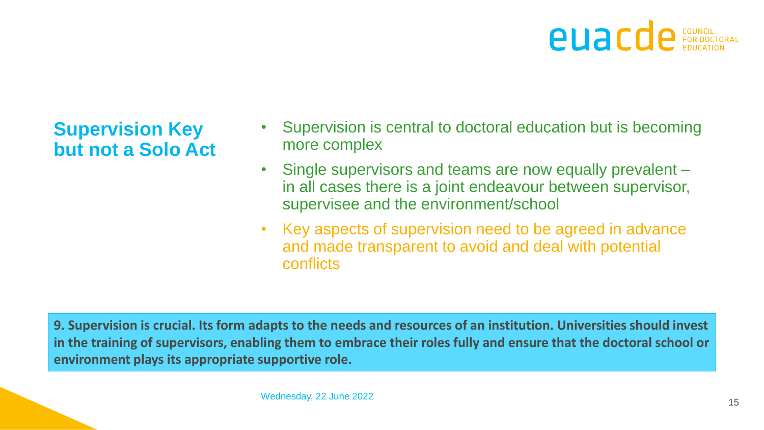**Supervision Key but not a Solo Act**

- Supervision is central to doctoral education but is becoming more complex
- Single supervisors and teams are now equally prevalent in all cases there is a joint endeavour between supervisor, supervisee and the environment/school
- Key aspects of supervision need to be agreed in advance and made transparent to avoid and deal with potential conflicts

**9. Supervision is crucial. Its form adapts to the needs and resources of an institution. Universities should invest in the training of supervisors, enabling them to embrace their roles fully and ensure that the doctoral school or environment plays its appropriate supportive role.**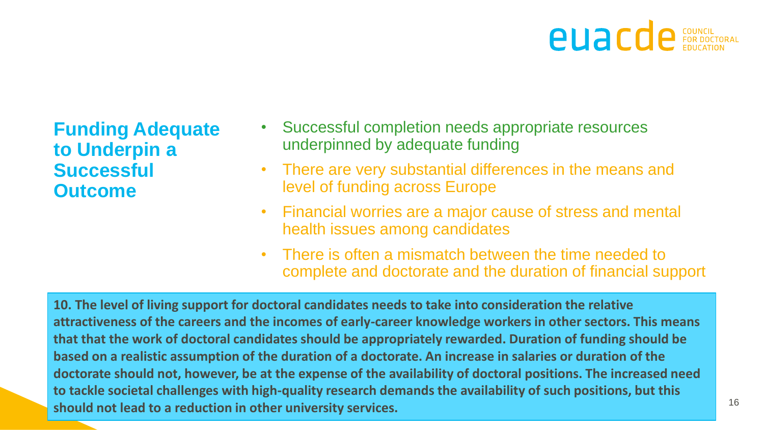**Funding Adequate to Underpin a Successful Outcome** 

- Successful completion needs appropriate resources underpinned by adequate funding
- There are very substantial differences in the means and level of funding across Europe
- Financial worries are a major cause of stress and mental health issues among candidates
- There is often a mismatch between the time needed to complete and doctorate and the duration of financial support

**Thursday is a should not lead to a reduction in other university services. 10. The level of living support for doctoral candidates needs to take into consideration the relative attractiveness of the careers and the incomes of early-career knowledge workers in other sectors. This means that that the work of doctoral candidates should be appropriately rewarded. Duration of funding should be based on a realistic assumption of the duration of a doctorate. An increase in salaries or duration of the doctorate should not, however, be at the expense of the availability of doctoral positions. The increased need to tackle societal challenges with high-quality research demands the availability of such positions, but this**